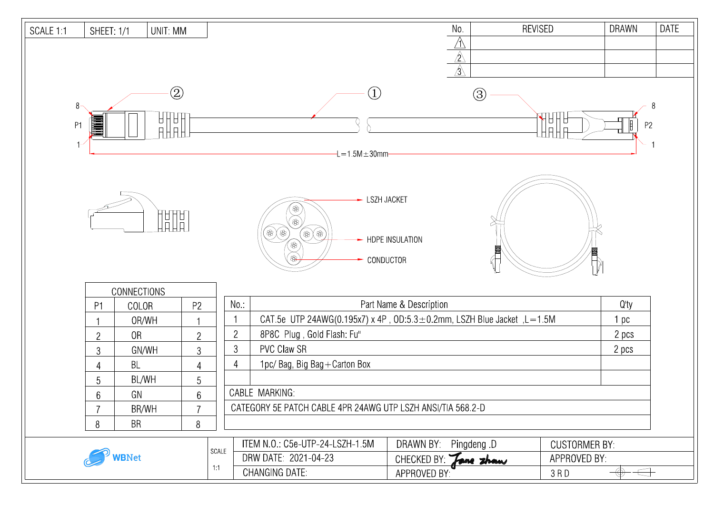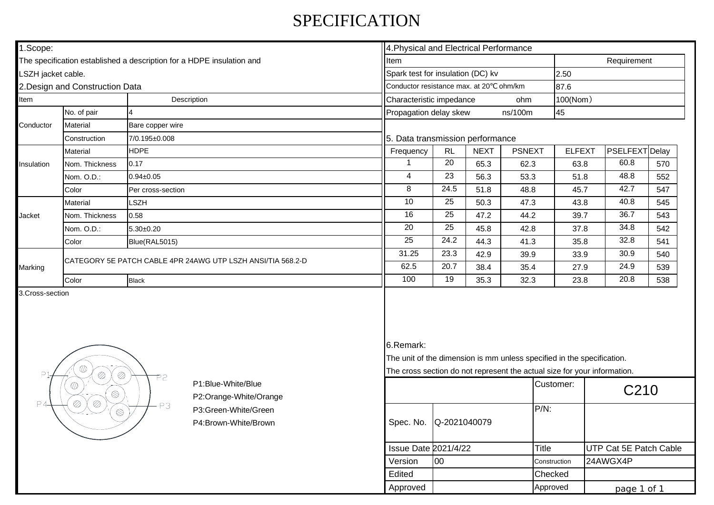## SPECIFICATION

| 1.Scope:            |                                                                       | 4. Physical and Electrical Performance |                                                                                                                                                    |                                  |                                    |      |             |                                 |                        |     |  |
|---------------------|-----------------------------------------------------------------------|----------------------------------------|----------------------------------------------------------------------------------------------------------------------------------------------------|----------------------------------|------------------------------------|------|-------------|---------------------------------|------------------------|-----|--|
|                     | The specification established a description for a HDPE insulation and | Item                                   |                                                                                                                                                    |                                  |                                    |      | Requirement |                                 |                        |     |  |
| LSZH jacket cable.  |                                                                       |                                        |                                                                                                                                                    |                                  | Spark test for insulation (DC) kv  |      |             |                                 | 2.50                   |     |  |
|                     | 2. Design and Construction Data                                       |                                        | Conductor resistance max. at 20°C ohm/km                                                                                                           |                                  |                                    |      | 87.6        |                                 |                        |     |  |
| Description<br>Item |                                                                       |                                        |                                                                                                                                                    | Characteristic impedance<br>ohm  |                                    |      |             | 100(Nom)                        |                        |     |  |
|                     | No. of pair                                                           | $\overline{4}$                         |                                                                                                                                                    |                                  | Propagation delay skew<br>ns/100m  |      |             |                                 | 45                     |     |  |
| Conductor           | Material                                                              | Bare copper wire                       |                                                                                                                                                    |                                  |                                    |      |             |                                 |                        |     |  |
|                     | Construction                                                          | 7/0.195±0.008                          |                                                                                                                                                    | 5. Data transmission performance |                                    |      |             |                                 |                        |     |  |
| Insulation          | Material                                                              | <b>HDPE</b>                            |                                                                                                                                                    | Frequency                        | <b>NEXT</b><br>RL<br><b>PSNEXT</b> |      |             | PSELFEXT Delay<br><b>ELFEXT</b> |                        |     |  |
|                     | Nom. Thickness                                                        | 0.17                                   |                                                                                                                                                    | $\mathbf{1}$                     | 20                                 | 65.3 | 62.3        | 63.8                            | 60.8                   | 570 |  |
|                     | Nom. O.D.:                                                            | $0.94 \pm 0.05$                        |                                                                                                                                                    | $\overline{4}$                   | $\overline{23}$                    | 56.3 | 53.3        | 51.8                            | 48.8                   | 552 |  |
|                     | Color                                                                 | Per cross-section                      |                                                                                                                                                    | $\overline{8}$                   | 24.5                               | 51.8 | 48.8        | 45.7                            | 42.7                   | 547 |  |
| Jacket              | Material                                                              | SZH                                    |                                                                                                                                                    | 10                               | 25                                 | 50.3 | 47.3        | 43.8                            | 40.8                   | 545 |  |
|                     | Nom. Thickness                                                        | 0.58                                   |                                                                                                                                                    | 16                               | 25                                 | 47.2 | 44.2        | 39.7                            | 36.7                   | 543 |  |
|                     | Nom. O.D.:                                                            | $5.30 \pm 0.20$                        |                                                                                                                                                    | $\overline{20}$                  | $\overline{25}$                    | 45.8 | 42.8        | 37.8                            | 34.8                   | 542 |  |
|                     | Color                                                                 | Blue(RAL5015)                          |                                                                                                                                                    | $\overline{25}$                  | 24.2                               | 44.3 | 41.3        | 35.8                            | 32.8                   | 541 |  |
| Marking             | CATEGORY 5E PATCH CABLE 4PR 24AWG UTP LSZH ANSI/TIA 568.2-D           |                                        | 31.25                                                                                                                                              | 23.3                             | 42.9                               | 39.9 | 33.9        | 30.9                            | 540                    |     |  |
|                     |                                                                       |                                        | 62.5                                                                                                                                               | 20.7                             | 38.4                               | 35.4 | 27.9        | 24.9                            | 539                    |     |  |
|                     | Color                                                                 | <b>Black</b>                           |                                                                                                                                                    | 100                              | 19                                 | 35.3 | 32.3        | 23.8                            | 20.8                   | 538 |  |
| Þ.                  | $\mathbb{Q}$<br>$\oslash$<br>$\oslash$                                | 6.Remark:                              | The unit of the dimension is mm unless specified in the specification.<br>The cross section do not represent the actual size for your information. |                                  |                                    |      |             |                                 |                        |     |  |
| P4                  | $\mathbb{O}$<br>$\otimes$<br>$\oslash$<br>$\oslash$                   | P2                                     | P1:Blue-White/Blue<br>P2:Orange-White/Orange                                                                                                       |                                  |                                    |      |             | Customer:                       | C210                   |     |  |
|                     | $-P3$<br>$\circledS$                                                  |                                        | P3:Green-White/Green<br>P4:Brown-White/Brown                                                                                                       | Spec. No.                        | $P/N$ :<br>Q-2021040079            |      |             |                                 |                        |     |  |
|                     |                                                                       |                                        |                                                                                                                                                    | <b>Issue Date 2021/4/22</b>      |                                    |      | Title       |                                 | UTP Cat 5E Patch Cable |     |  |
|                     |                                                                       |                                        |                                                                                                                                                    | Version                          | 00                                 |      |             | Construction                    | 24AWGX4P               |     |  |
|                     |                                                                       |                                        |                                                                                                                                                    | Edited                           |                                    |      |             | <b>Checked</b>                  |                        |     |  |

Approved Approved Approved

page 1 of 1